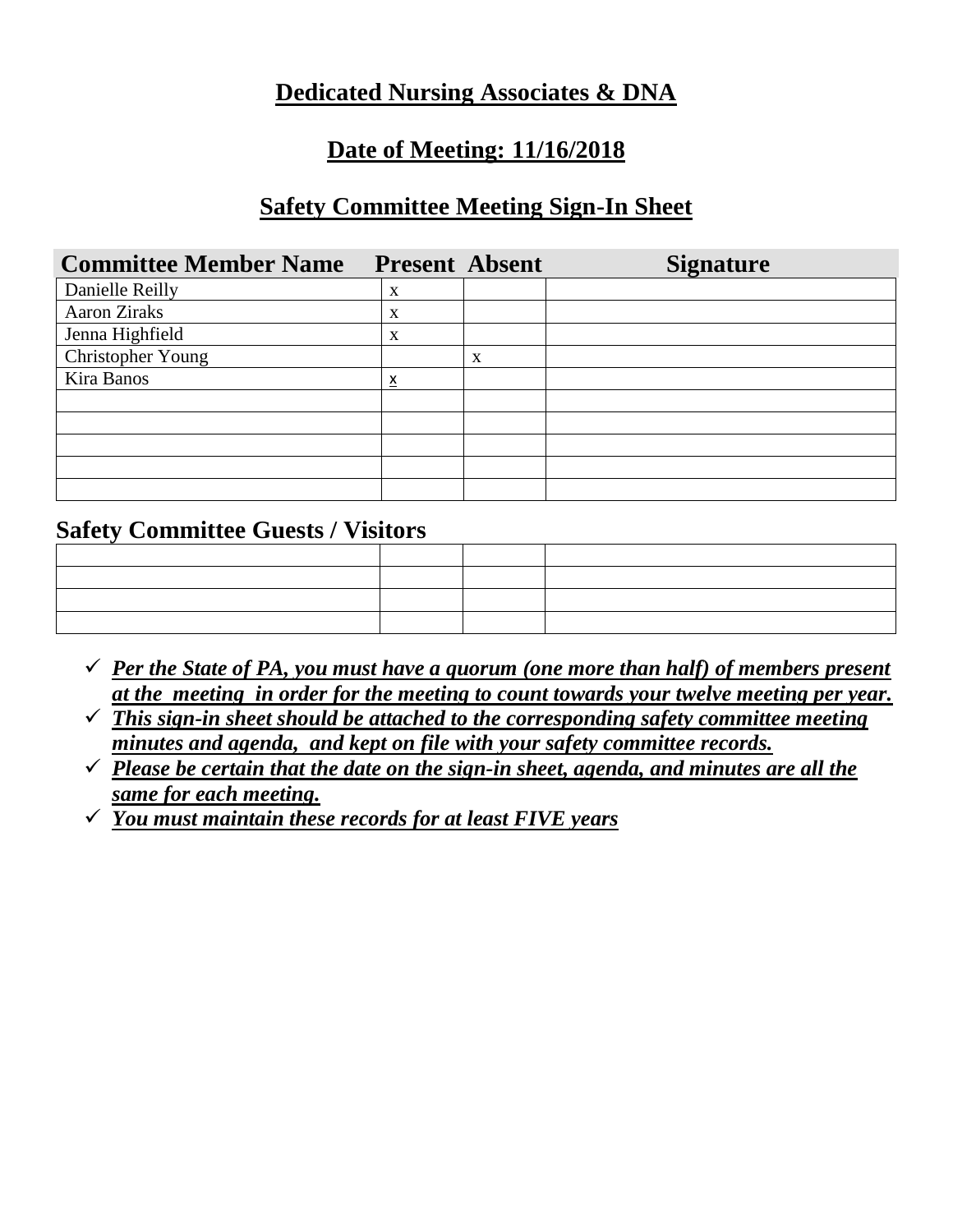## **Dedicated Nursing Associates & DNA**

### **Date of Meeting: 11/16/2018**

#### **Safety Committee Meeting Sign-In Sheet**

| <b>Committee Member Name</b> | <b>Present Absent</b> |   | <b>Signature</b> |
|------------------------------|-----------------------|---|------------------|
| Danielle Reilly              | X                     |   |                  |
| <b>Aaron Ziraks</b>          | X                     |   |                  |
| Jenna Highfield              | X                     |   |                  |
| Christopher Young            |                       | X |                  |
| Kira Banos                   | $\underline{x}$       |   |                  |
|                              |                       |   |                  |
|                              |                       |   |                  |
|                              |                       |   |                  |
|                              |                       |   |                  |
|                              |                       |   |                  |

#### **Safety Committee Guests / Visitors**

|                                                 | ○ 1999年1月19日,1999年1月1日,1999年1月1日,1999年1月1日,1999年1月1日,1999年1月1日,1999年1月1日,1999年1月1<br>1990年1月10日,1999年1月1日,1999年1月1日,1999年1月1日,1999年1月1日,1999年1月1日,1999年1月1日,1999年1月1日 |  |
|-------------------------------------------------|-----------------------------------------------------------------------------------------------------------------------------------------------------------------------|--|
|                                                 |                                                                                                                                                                       |  |
| the contract of the contract of the contract of |                                                                                                                                                                       |  |
|                                                 |                                                                                                                                                                       |  |

- $\checkmark$  *Per the State of PA, you must have a quorum (one more than half) of members present at the meeting in order for the meeting to count towards your twelve meeting per year.*
- ✓ *This sign-in sheet should be attached to the corresponding safety committee meeting minutes and agenda, and kept on file with your safety committee records.*
- $\checkmark$  Please be certain that the date on the sign-in sheet, agenda, and minutes are all the *same for each meeting.*
- ✓ *You must maintain these records for at least FIVE years*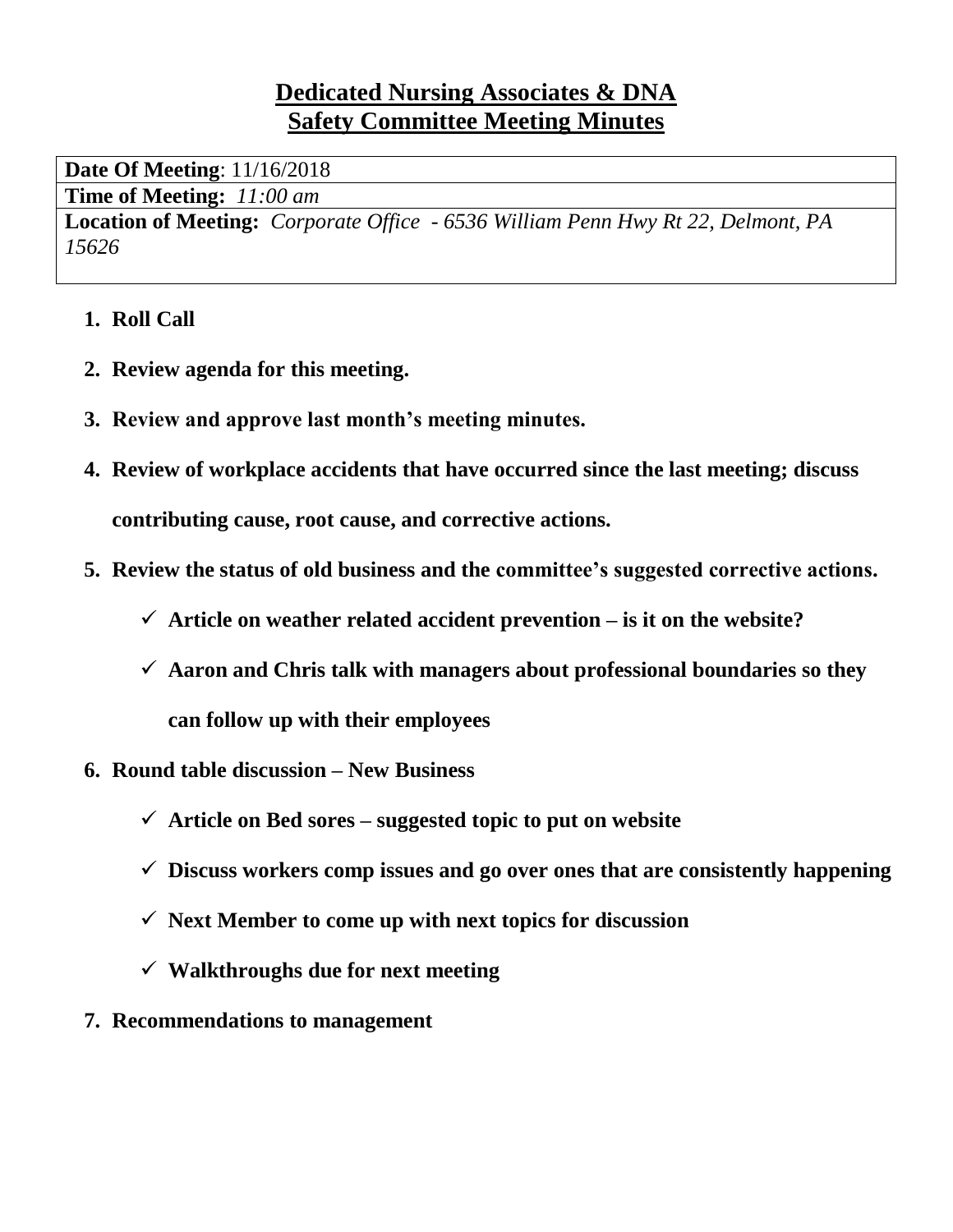# **Dedicated Nursing Associates & DNA Safety Committee Meeting Minutes**

**Date Of Meeting**: 11/16/2018

**Time of Meeting:** *11:00 am*

**Location of Meeting:** *Corporate Office - 6536 William Penn Hwy Rt 22, Delmont, PA 15626*

- **1. Roll Call**
- **2. Review agenda for this meeting.**
- **3. Review and approve last month's meeting minutes.**
- **4. Review of workplace accidents that have occurred since the last meeting; discuss contributing cause, root cause, and corrective actions.**
- **5. Review the status of old business and the committee's suggested corrective actions.**
	- $\checkmark$  Article on weather related accident prevention is it on the website?
	- ✓ **Aaron and Chris talk with managers about professional boundaries so they can follow up with their employees**
- **6. Round table discussion – New Business**
	- ✓ **Article on Bed sores – suggested topic to put on website**
	- ✓ **Discuss workers comp issues and go over ones that are consistently happening**
	- ✓ **Next Member to come up with next topics for discussion**
	- ✓ **Walkthroughs due for next meeting**
- **7. Recommendations to management**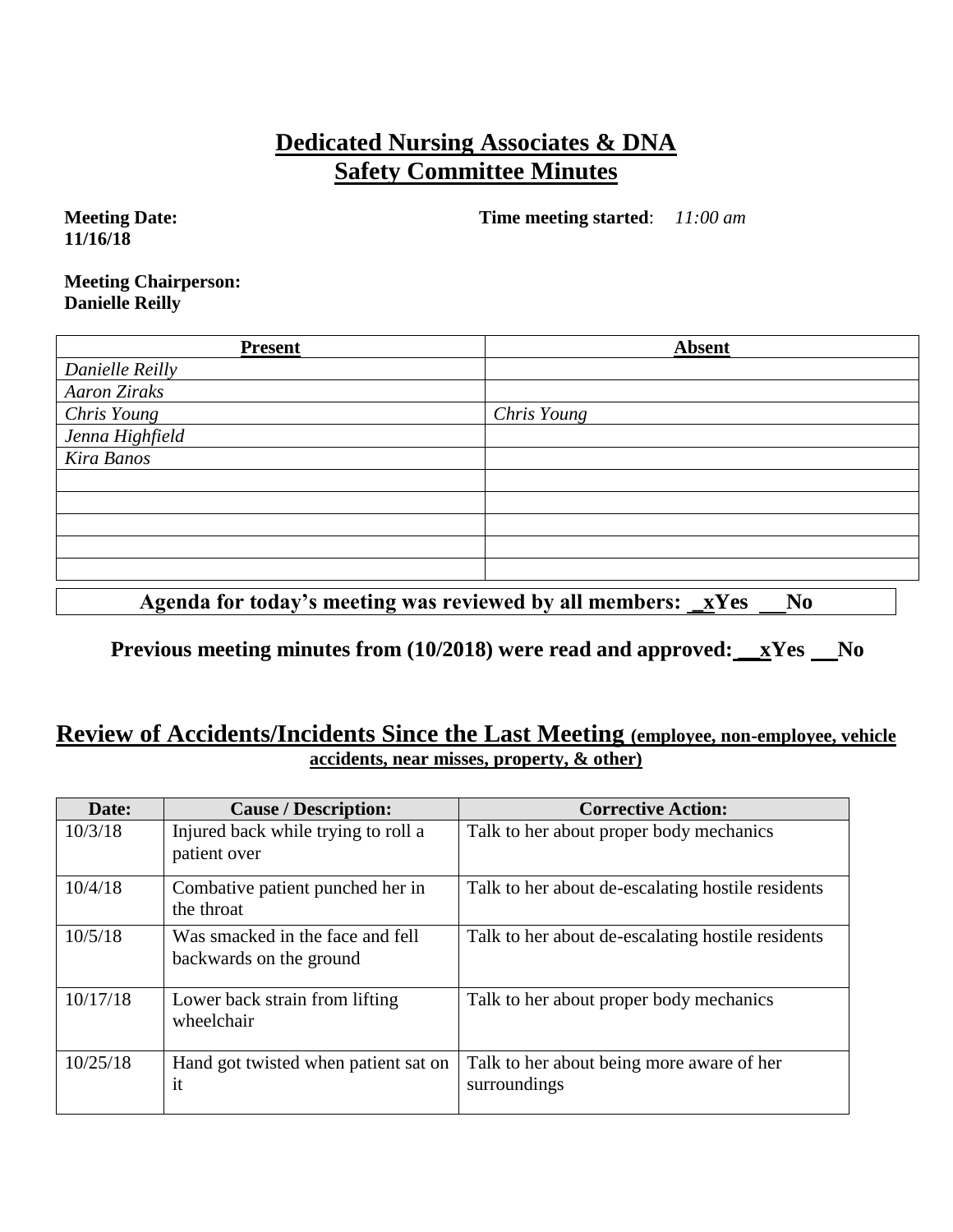# **Dedicated Nursing Associates & DNA Safety Committee Minutes**

**Meeting Date: 11/16/18**

**Time meeting started**: *11:00 am*

**Meeting Chairperson: Danielle Reilly**

| <b>Present</b>      | <b>Absent</b> |
|---------------------|---------------|
| Danielle Reilly     |               |
| <b>Aaron Ziraks</b> |               |
| <b>Chris Young</b>  | Chris Young   |
| Jenna Highfield     |               |
| Kira Banos          |               |
|                     |               |
|                     |               |
|                     |               |
|                     |               |
|                     |               |

Agenda for today's meeting was reviewed by all members: <u>xYes No</u>

**Previous meeting minutes from (10/2018) were read and approved: xYes No** 

#### **Review of Accidents/Incidents Since the Last Meeting (employee, non-employee, vehicle accidents, near misses, property, & other)**

| Date:    | <b>Cause / Description:</b>                                 | <b>Corrective Action:</b>                                 |
|----------|-------------------------------------------------------------|-----------------------------------------------------------|
| 10/3/18  | Injured back while trying to roll a<br>patient over         | Talk to her about proper body mechanics                   |
| 10/4/18  | Combative patient punched her in<br>the throat              | Talk to her about de-escalating hostile residents         |
| 10/5/18  | Was smacked in the face and fell<br>backwards on the ground | Talk to her about de-escalating hostile residents         |
| 10/17/18 | Lower back strain from lifting<br>wheelchair                | Talk to her about proper body mechanics                   |
| 10/25/18 | Hand got twisted when patient sat on<br>it                  | Talk to her about being more aware of her<br>surroundings |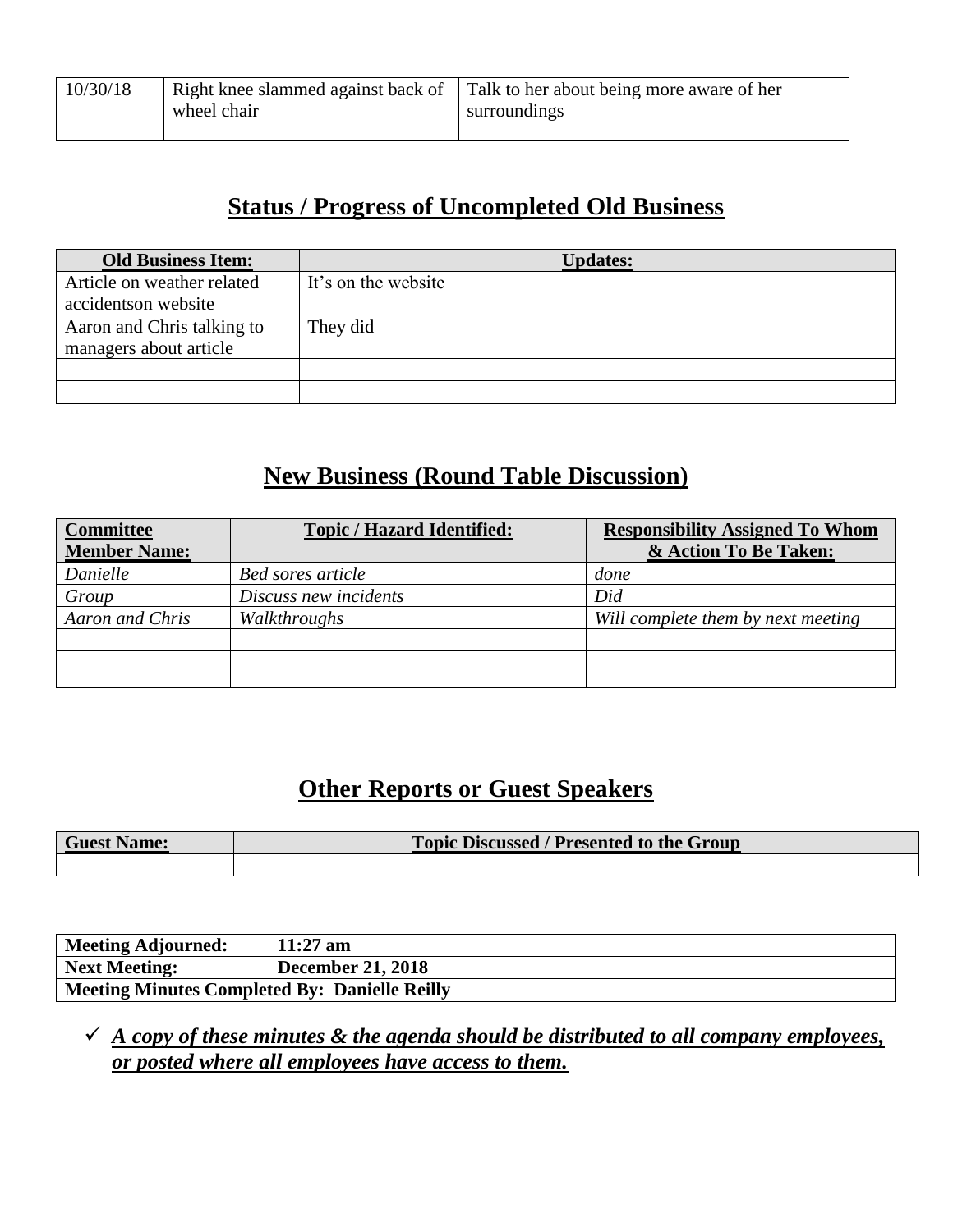| 10/30/18 | Right knee slammed against back of<br>wheel chair | Talk to her about being more aware of her<br>surroundings |
|----------|---------------------------------------------------|-----------------------------------------------------------|
|          |                                                   |                                                           |

## **Status / Progress of Uncompleted Old Business**

| <b>Old Business Item:</b>  | <b>Updates:</b>     |
|----------------------------|---------------------|
| Article on weather related | It's on the website |
| accidentson website        |                     |
| Aaron and Chris talking to | They did            |
| managers about article     |                     |
|                            |                     |
|                            |                     |

# **New Business (Round Table Discussion)**

| <b>Committee</b><br><b>Member Name:</b> | <b>Topic / Hazard Identified:</b> | <b>Responsibility Assigned To Whom</b><br>& Action To Be Taken: |
|-----------------------------------------|-----------------------------------|-----------------------------------------------------------------|
|                                         |                                   |                                                                 |
| Danielle                                | <b>Bed sores article</b>          | done                                                            |
| Group                                   | Discuss new incidents             | Did                                                             |
| Aaron and Chris                         | Walkthroughs                      | Will complete them by next meeting                              |
|                                         |                                   |                                                                 |
|                                         |                                   |                                                                 |
|                                         |                                   |                                                                 |

# **Other Reports or Guest Speakers**

| <b>Guest Name:</b> | <b>Topic Discussed / Presented to the Group</b> |
|--------------------|-------------------------------------------------|
|                    |                                                 |

| Meeting Adjourned:                            | $11:27$ am               |
|-----------------------------------------------|--------------------------|
| Next Meeting:                                 | <b>December 21, 2018</b> |
| Meeting Minutes Completed By: Danielle Reilly |                          |

 $\checkmark$  *A copy of these minutes & the agenda should be distributed to all company employees, or posted where all employees have access to them.*